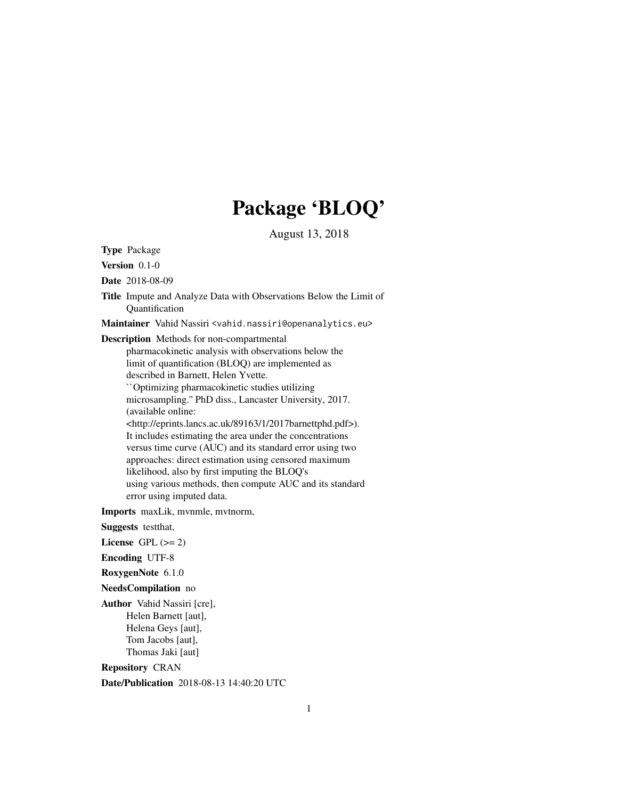# Package 'BLOQ'

August 13, 2018

Type Package

Version 0.1-0

Date 2018-08-09

Title Impute and Analyze Data with Observations Below the Limit of Quantification

Maintainer Vahid Nassiri <vahid.nassiri@openanalytics.eu>

Description Methods for non-compartmental

pharmacokinetic analysis with observations below the limit of quantification (BLOQ) are implemented as described in Barnett, Helen Yvette. ``Optimizing pharmacokinetic studies utilizing microsampling.'' PhD diss., Lancaster University, 2017. (available online:

<http://eprints.lancs.ac.uk/89163/1/2017barnettphd.pdf>). It includes estimating the area under the concentrations versus time curve (AUC) and its standard error using two approaches: direct estimation using censored maximum likelihood, also by first imputing the BLOQ's using various methods, then compute AUC and its standard error using imputed data.

Imports maxLik, mvnmle, mvtnorm,

Suggests testthat,

License GPL  $(>= 2)$ 

Encoding UTF-8

RoxygenNote 6.1.0

NeedsCompilation no

Author Vahid Nassiri [cre], Helen Barnett [aut], Helena Geys [aut], Tom Jacobs [aut], Thomas Jaki [aut]

Repository CRAN

Date/Publication 2018-08-13 14:40:20 UTC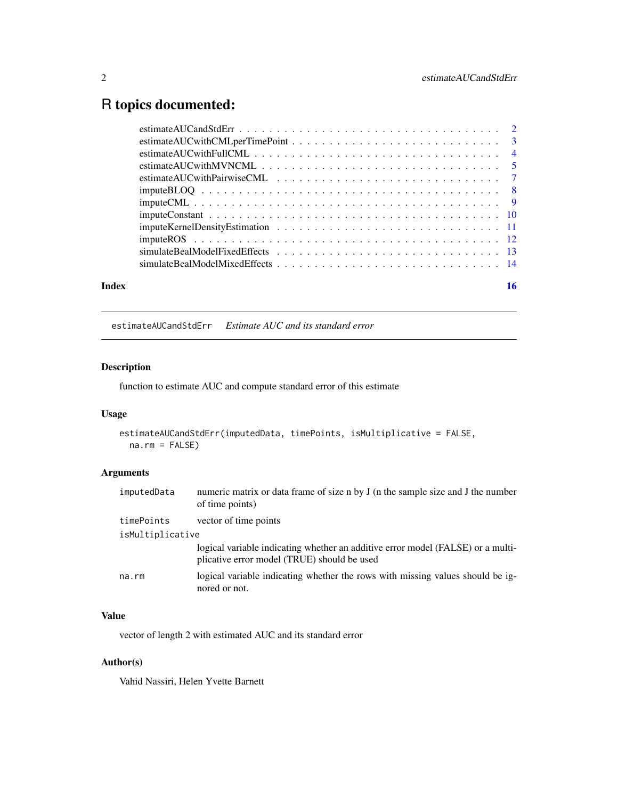# <span id="page-1-0"></span>R topics documented:

| Index |  |
|-------|--|
|       |  |
|       |  |
|       |  |
|       |  |
|       |  |
|       |  |
|       |  |
|       |  |
|       |  |
|       |  |
|       |  |
|       |  |

estimateAUCandStdErr *Estimate AUC and its standard error*

# Description

function to estimate AUC and compute standard error of this estimate

# Usage

```
estimateAUCandStdErr(imputedData, timePoints, isMultiplicative = FALSE,
 na.rm = FALSE)
```
# Arguments

| imputedData      | numeric matrix or data frame of size n by J (n the sample size and J the number<br>of time points)                             |  |
|------------------|--------------------------------------------------------------------------------------------------------------------------------|--|
| timePoints       | vector of time points                                                                                                          |  |
| isMultiplicative |                                                                                                                                |  |
|                  | logical variable indicating whether an additive error model (FALSE) or a multi-<br>plicative error model (TRUE) should be used |  |
| na.rm            | logical variable indicating whether the rows with missing values should be ig-<br>nored or not.                                |  |

# Value

vector of length 2 with estimated AUC and its standard error

#### Author(s)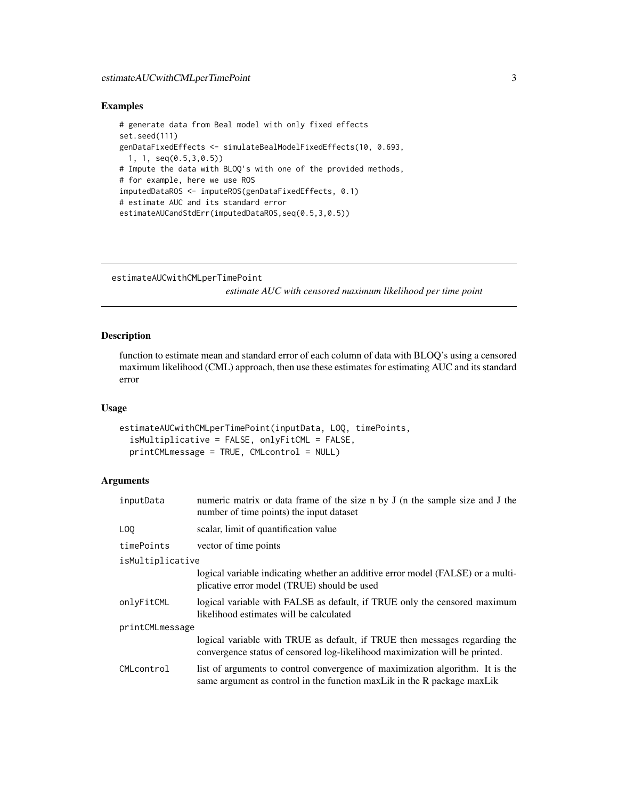#### <span id="page-2-0"></span>Examples

```
# generate data from Beal model with only fixed effects
set.seed(111)
genDataFixedEffects <- simulateBealModelFixedEffects(10, 0.693,
  1, 1, seq(0.5,3,0.5))
# Impute the data with BLOQ's with one of the provided methods,
# for example, here we use ROS
imputedDataROS <- imputeROS(genDataFixedEffects, 0.1)
# estimate AUC and its standard error
estimateAUCandStdErr(imputedDataROS,seq(0.5,3,0.5))
```

```
estimateAUCwithCMLperTimePoint
```
*estimate AUC with censored maximum likelihood per time point*

#### Description

function to estimate mean and standard error of each column of data with BLOQ's using a censored maximum likelihood (CML) approach, then use these estimates for estimating AUC and its standard error

#### Usage

```
estimateAUCwithCMLperTimePoint(inputData, LOQ, timePoints,
  isMultiplicative = FALSE, onlyFitCML = FALSE,
  printCMLmessage = TRUE, CMLcontrol = NULL)
```
#### Arguments

| inputData        | numeric matrix or data frame of the size n by J (n the sample size and J the<br>number of time points) the input dataset                                   |
|------------------|------------------------------------------------------------------------------------------------------------------------------------------------------------|
| L <sub>00</sub>  | scalar, limit of quantification value                                                                                                                      |
| timePoints       | vector of time points                                                                                                                                      |
| isMultiplicative |                                                                                                                                                            |
|                  | logical variable indicating whether an additive error model (FALSE) or a multi-<br>plicative error model (TRUE) should be used                             |
| onlyFitCML       | logical variable with FALSE as default, if TRUE only the censored maximum<br>likelihood estimates will be calculated                                       |
| printCMLmessage  |                                                                                                                                                            |
|                  | logical variable with TRUE as default, if TRUE then messages regarding the<br>convergence status of censored log-likelihood maximization will be printed.  |
| CMLcontrol       | list of arguments to control convergence of maximization algorithm. It is the<br>same argument as control in the function max Lik in the R package max Lik |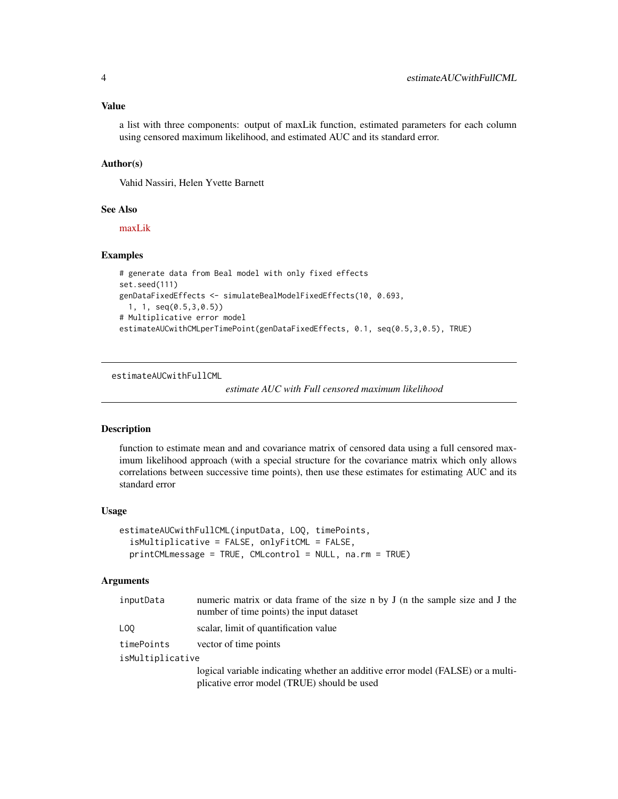#### <span id="page-3-0"></span>Value

a list with three components: output of maxLik function, estimated parameters for each column using censored maximum likelihood, and estimated AUC and its standard error.

#### Author(s)

Vahid Nassiri, Helen Yvette Barnett

#### See Also

[maxLik](https://www.rdocumentation.org/packages/maxLik/versions/1.3-4/topics/maxLik)

#### Examples

```
# generate data from Beal model with only fixed effects
set.seed(111)
genDataFixedEffects <- simulateBealModelFixedEffects(10, 0.693,
 1, 1, seq(0.5,3,0.5))
# Multiplicative error model
estimateAUCwithCMLperTimePoint(genDataFixedEffects, 0.1, seq(0.5,3,0.5), TRUE)
```
estimateAUCwithFullCML

*estimate AUC with Full censored maximum likelihood*

#### Description

function to estimate mean and and covariance matrix of censored data using a full censored maximum likelihood approach (with a special structure for the covariance matrix which only allows correlations between successive time points), then use these estimates for estimating AUC and its standard error

#### Usage

```
estimateAUCwithFullCML(inputData, LOQ, timePoints,
  isMultiplicative = FALSE, onlyFitCML = FALSE,
  printCMLmessage = TRUE, CMLcontrol = NULL, na.rm = TRUE)
```
#### Arguments

| inputData        | numeric matrix or data frame of the size n by J (n the sample size and J the<br>number of time points) the input dataset       |  |
|------------------|--------------------------------------------------------------------------------------------------------------------------------|--|
| LOO              | scalar, limit of quantification value                                                                                          |  |
| timePoints       | vector of time points                                                                                                          |  |
| isMultiplicative |                                                                                                                                |  |
|                  | logical variable indicating whether an additive error model (FALSE) or a multi-<br>plicative error model (TRUE) should be used |  |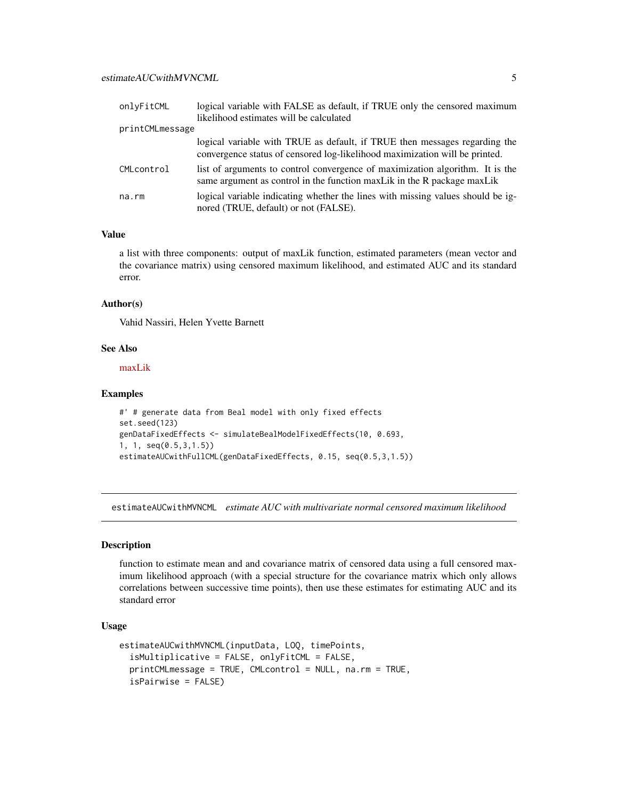<span id="page-4-0"></span>

| onlyFitCML      | logical variable with FALSE as default, if TRUE only the censored maximum                                                                                 |
|-----------------|-----------------------------------------------------------------------------------------------------------------------------------------------------------|
|                 | likelihood estimates will be calculated                                                                                                                   |
| printCMLmessage |                                                                                                                                                           |
|                 | logical variable with TRUE as default, if TRUE then messages regarding the<br>convergence status of censored log-likelihood maximization will be printed. |
| CMLcontrol      | list of arguments to control convergence of maximization algorithm. It is the<br>same argument as control in the function maxLik in the R package maxLik  |
| na.rm           | logical variable indicating whether the lines with missing values should be ig-<br>nored (TRUE, default) or not (FALSE).                                  |

#### Value

a list with three components: output of maxLik function, estimated parameters (mean vector and the covariance matrix) using censored maximum likelihood, and estimated AUC and its standard error.

#### Author(s)

Vahid Nassiri, Helen Yvette Barnett

#### See Also

[maxLik](https://www.rdocumentation.org/packages/maxLik/versions/1.3-4/topics/maxLik)

#### Examples

```
#' # generate data from Beal model with only fixed effects
set.seed(123)
genDataFixedEffects <- simulateBealModelFixedEffects(10, 0.693,
1, 1, seq(0.5,3,1.5))
estimateAUCwithFullCML(genDataFixedEffects, 0.15, seq(0.5,3,1.5))
```
estimateAUCwithMVNCML *estimate AUC with multivariate normal censored maximum likelihood*

#### Description

function to estimate mean and and covariance matrix of censored data using a full censored maximum likelihood approach (with a special structure for the covariance matrix which only allows correlations between successive time points), then use these estimates for estimating AUC and its standard error

#### Usage

```
estimateAUCwithMVNCML(inputData, LOQ, timePoints,
  isMultiplicative = FALSE, onlyFitCML = FALSE,
  printCMLmessage = TRUE, CMLcontrol = NULL, na.rm = TRUE,
  isPairwise = FALSE)
```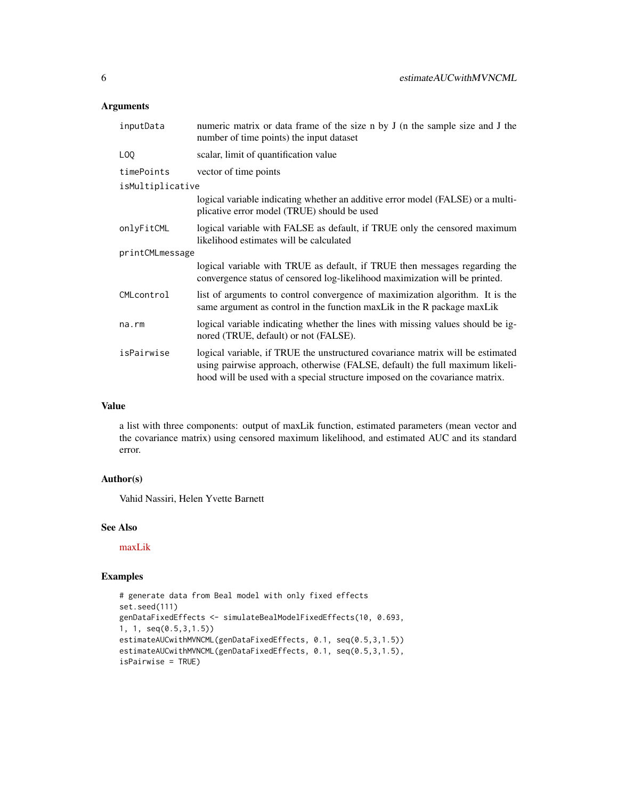# Arguments

| inputData        | numeric matrix or data frame of the size n by J (n the sample size and J the<br>number of time points) the input dataset                                                                                                                       |
|------------------|------------------------------------------------------------------------------------------------------------------------------------------------------------------------------------------------------------------------------------------------|
| L <sub>00</sub>  | scalar, limit of quantification value                                                                                                                                                                                                          |
| timePoints       | vector of time points                                                                                                                                                                                                                          |
| isMultiplicative |                                                                                                                                                                                                                                                |
|                  | logical variable indicating whether an additive error model (FALSE) or a multi-<br>plicative error model (TRUE) should be used                                                                                                                 |
| onlyFitCML       | logical variable with FALSE as default, if TRUE only the censored maximum<br>likelihood estimates will be calculated                                                                                                                           |
| printCMLmessage  |                                                                                                                                                                                                                                                |
|                  | logical variable with TRUE as default, if TRUE then messages regarding the<br>convergence status of censored log-likelihood maximization will be printed.                                                                                      |
| CMLcontrol       | list of arguments to control convergence of maximization algorithm. It is the<br>same argument as control in the function maxLik in the R package maxLik                                                                                       |
| $na$ . $rm$      | logical variable indicating whether the lines with missing values should be ig-<br>nored (TRUE, default) or not (FALSE).                                                                                                                       |
| isPairwise       | logical variable, if TRUE the unstructured covariance matrix will be estimated<br>using pairwise approach, otherwise (FALSE, default) the full maximum likeli-<br>hood will be used with a special structure imposed on the covariance matrix. |

# Value

a list with three components: output of maxLik function, estimated parameters (mean vector and the covariance matrix) using censored maximum likelihood, and estimated AUC and its standard error.

#### Author(s)

Vahid Nassiri, Helen Yvette Barnett

# See Also

[maxLik](https://www.rdocumentation.org/packages/maxLik/versions/1.3-4/topics/maxLik)

```
# generate data from Beal model with only fixed effects
set.seed(111)
genDataFixedEffects <- simulateBealModelFixedEffects(10, 0.693,
1, 1, seq(0.5,3,1.5))
estimateAUCwithMVNCML(genDataFixedEffects, 0.1, seq(0.5,3,1.5))
estimateAUCwithMVNCML(genDataFixedEffects, 0.1, seq(0.5,3,1.5),
isPairwise = TRUE)
```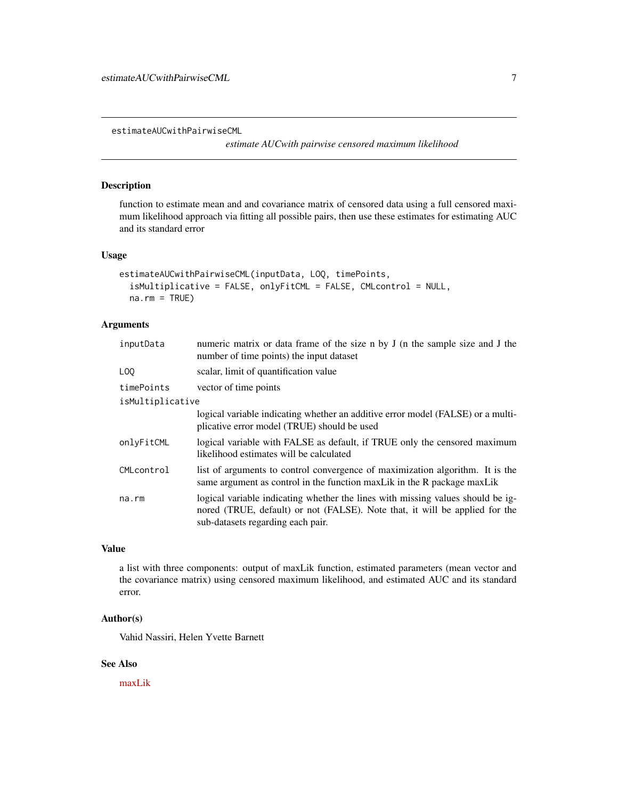<span id="page-6-0"></span>estimateAUCwithPairwiseCML

*estimate AUCwith pairwise censored maximum likelihood*

#### Description

function to estimate mean and and covariance matrix of censored data using a full censored maximum likelihood approach via fitting all possible pairs, then use these estimates for estimating AUC and its standard error

# Usage

```
estimateAUCwithPairwiseCML(inputData, LOQ, timePoints,
  isMultiplicative = FALSE, onlyFitCML = FALSE, CMLcontrol = NULL,
  na.rm = TRUE)
```
# Arguments

| inputData        | numeric matrix or data frame of the size n by J (n the sample size and J the<br>number of time points) the input dataset                                                                            |
|------------------|-----------------------------------------------------------------------------------------------------------------------------------------------------------------------------------------------------|
| L <sub>00</sub>  | scalar, limit of quantification value                                                                                                                                                               |
| timePoints       | vector of time points                                                                                                                                                                               |
| isMultiplicative |                                                                                                                                                                                                     |
|                  | logical variable indicating whether an additive error model (FALSE) or a multi-<br>plicative error model (TRUE) should be used                                                                      |
| onlyFitCML       | logical variable with FALSE as default, if TRUE only the censored maximum<br>likelihood estimates will be calculated                                                                                |
| CMLcontrol       | list of arguments to control convergence of maximization algorithm. It is the<br>same argument as control in the function max Lik in the R package max Lik                                          |
| na.rm            | logical variable indicating whether the lines with missing values should be ig-<br>nored (TRUE, default) or not (FALSE). Note that, it will be applied for the<br>sub-datasets regarding each pair. |

#### Value

a list with three components: output of maxLik function, estimated parameters (mean vector and the covariance matrix) using censored maximum likelihood, and estimated AUC and its standard error.

#### Author(s)

Vahid Nassiri, Helen Yvette Barnett

# See Also

[maxLik](https://www.rdocumentation.org/packages/maxLik/versions/1.3-4/topics/maxLik)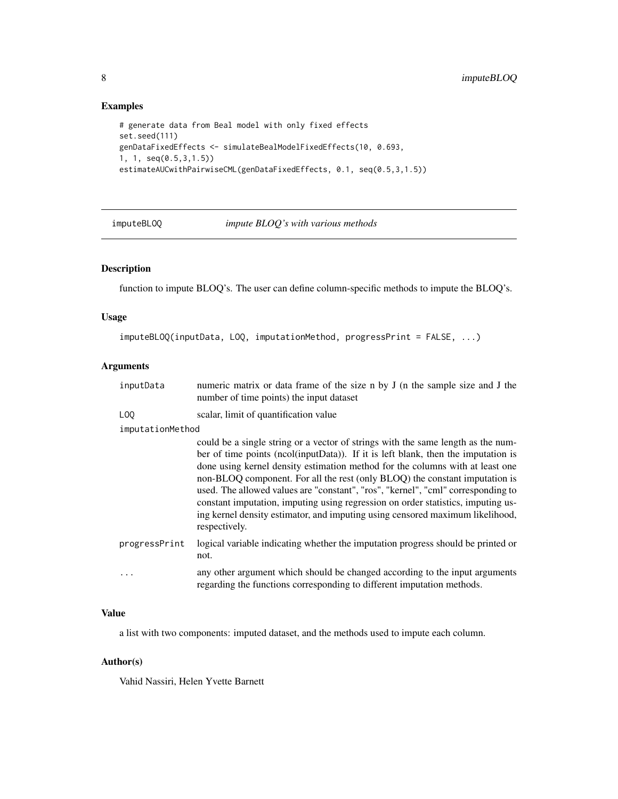# Examples

```
# generate data from Beal model with only fixed effects
set.seed(111)
genDataFixedEffects <- simulateBealModelFixedEffects(10, 0.693,
1, 1, seq(0.5,3,1.5))
estimateAUCwithPairwiseCML(genDataFixedEffects, 0.1, seq(0.5,3,1.5))
```
# imputeBLOQ *impute BLOQ's with various methods*

# Description

function to impute BLOQ's. The user can define column-specific methods to impute the BLOQ's.

# Usage

```
imputeBLOQ(inputData, LOQ, imputationMethod, progressPrint = FALSE, ...)
```
# Arguments

| inputData | numeric matrix or data frame of the size n by J (n the sample size and J the |
|-----------|------------------------------------------------------------------------------|
|           | number of time points) the input dataset                                     |

LOQ scalar, limit of quantification value

#### imputationMethod

|               | could be a single string or a vector of strings with the same length as the num-                                                                      |
|---------------|-------------------------------------------------------------------------------------------------------------------------------------------------------|
|               | ber of time points (ncol(inputData)). If it is left blank, then the imputation is                                                                     |
|               | done using kernel density estimation method for the columns with at least one                                                                         |
|               | non-BLOQ component. For all the rest (only BLOQ) the constant imputation is                                                                           |
|               | used. The allowed values are "constant", "ros", "kernel", "cml" corresponding to                                                                      |
|               | constant imputation, imputing using regression on order statistics, imputing us-                                                                      |
|               | ing kernel density estimator, and imputing using censored maximum likelihood,<br>respectively.                                                        |
| progressPrint | logical variable indicating whether the imputation progress should be printed or<br>not.                                                              |
| $\ddots$      | any other argument which should be changed according to the input arguments<br>regarding the functions corresponding to different imputation methods. |
|               |                                                                                                                                                       |

#### Value

a list with two components: imputed dataset, and the methods used to impute each column.

#### Author(s)

<span id="page-7-0"></span>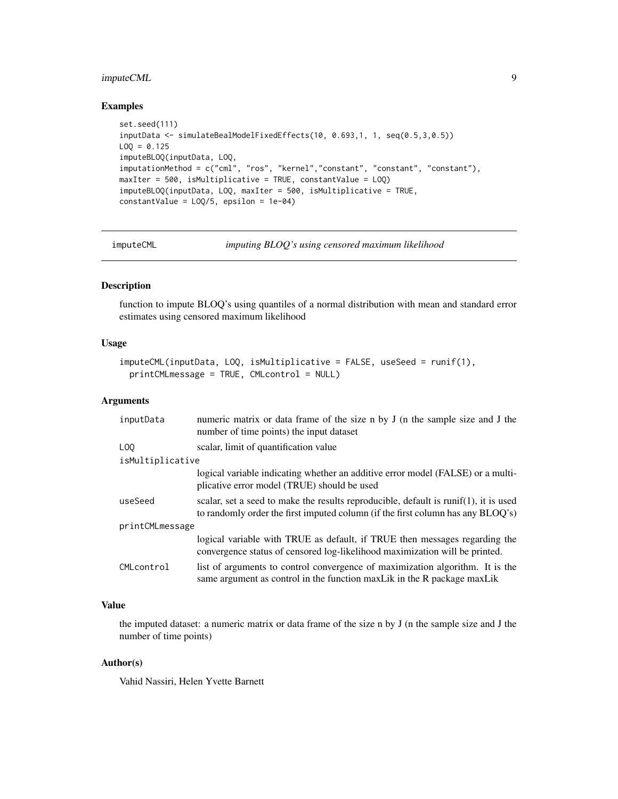# <span id="page-8-0"></span>imputeCML 9

# Examples

```
set.seed(111)
inputData <- simulateBealModelFixedEffects(10, 0.693,1, 1, seq(0.5,3,0.5))
LOO = 0.125imputeBLOQ(inputData, LOQ,
imputationMethod = c("cml", "ros", "kernel","constant", "constant", "constant"),
maxIter = 500, isMultiplicative = TRUE, constantValue = LOQ)
imputeBLOQ(inputData, LOQ, maxIter = 500, isMultiplicative = TRUE,
constantValue = L0Q/5, epsilon = 1e-04)
```
imputeCML *imputing BLOQ's using censored maximum likelihood*

# Description

function to impute BLOQ's using quantiles of a normal distribution with mean and standard error estimates using censored maximum likelihood

#### Usage

```
imputeCML(inputData, LOQ, isMultiplicative = FALSE, useSeed = runif(1),
 printCMLmessage = TRUE, CMLcontrol = NULL)
```
# Arguments

| inputData        | numeric matrix or data frame of the size n by J (n the sample size and J the<br>number of time points) the input dataset                                                |  |
|------------------|-------------------------------------------------------------------------------------------------------------------------------------------------------------------------|--|
| L <sub>00</sub>  | scalar, limit of quantification value                                                                                                                                   |  |
| isMultiplicative |                                                                                                                                                                         |  |
|                  | logical variable indicating whether an additive error model (FALSE) or a multi-<br>plicative error model (TRUE) should be used                                          |  |
| useSeed          | scalar, set a seed to make the results reproducible, default is runif(1), it is used<br>to randomly order the first imputed column (if the first column has any BLOO's) |  |
| printCMLmessage  |                                                                                                                                                                         |  |
|                  | logical variable with TRUE as default, if TRUE then messages regarding the<br>convergence status of censored log-likelihood maximization will be printed.               |  |
| CMLcontrol       | list of arguments to control convergence of maximization algorithm. It is the<br>same argument as control in the function max Lik in the R package max Lik              |  |

# Value

the imputed dataset: a numeric matrix or data frame of the size n by J (n the sample size and J the number of time points)

#### Author(s)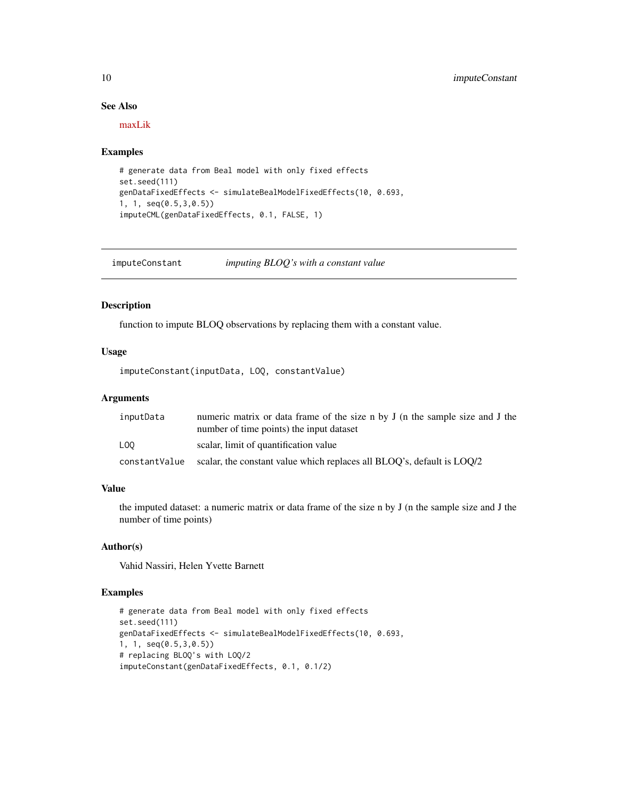# See Also

[maxLik](https://www.rdocumentation.org/packages/maxLik/versions/1.3-4/topics/maxLik)

#### Examples

```
# generate data from Beal model with only fixed effects
set.seed(111)
genDataFixedEffects <- simulateBealModelFixedEffects(10, 0.693,
1, 1, seq(0.5,3,0.5))
imputeCML(genDataFixedEffects, 0.1, FALSE, 1)
```
imputeConstant *imputing BLOQ's with a constant value*

# Description

function to impute BLOQ observations by replacing them with a constant value.

#### Usage

imputeConstant(inputData, LOQ, constantValue)

#### Arguments

| inputData     | numeric matrix or data frame of the size n by J (n the sample size and J the<br>number of time points) the input dataset |
|---------------|--------------------------------------------------------------------------------------------------------------------------|
| LOO           | scalar, limit of quantification value                                                                                    |
| constantValue | scalar, the constant value which replaces all BLOQ's, default is LOQ/2                                                   |

# Value

the imputed dataset: a numeric matrix or data frame of the size n by J (n the sample size and J the number of time points)

# Author(s)

Vahid Nassiri, Helen Yvette Barnett

```
# generate data from Beal model with only fixed effects
set.seed(111)
genDataFixedEffects <- simulateBealModelFixedEffects(10, 0.693,
1, 1, seq(0.5,3,0.5))
# replacing BLOQ's with LOQ/2
imputeConstant(genDataFixedEffects, 0.1, 0.1/2)
```
<span id="page-9-0"></span>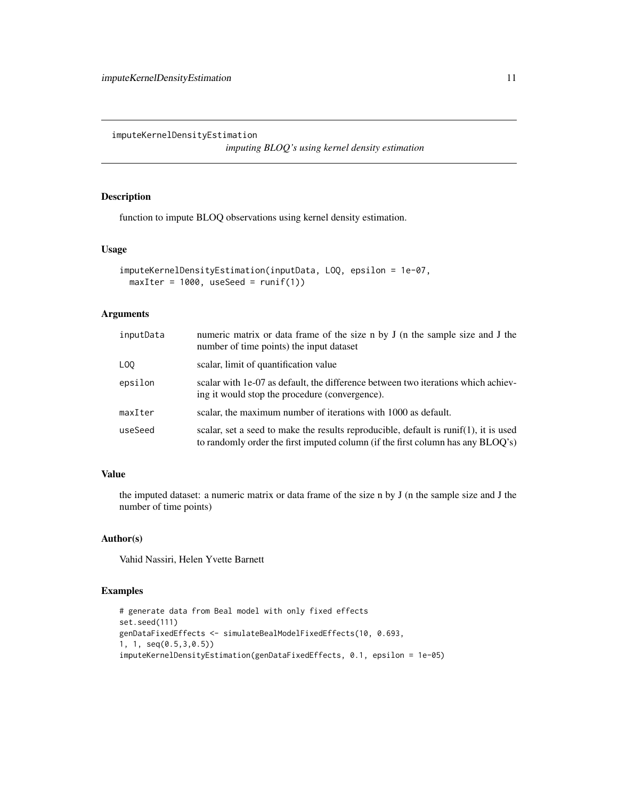<span id="page-10-0"></span>imputeKernelDensityEstimation

*imputing BLOQ's using kernel density estimation*

# Description

function to impute BLOQ observations using kernel density estimation.

# Usage

```
imputeKernelDensityEstimation(inputData, LOQ, epsilon = 1e-07,
 maxIter = 1000, useSeed = runif(1))
```
#### Arguments

| inputData       | numeric matrix or data frame of the size n by J (n the sample size and J the<br>number of time points) the input dataset                                                |
|-----------------|-------------------------------------------------------------------------------------------------------------------------------------------------------------------------|
| L <sub>00</sub> | scalar, limit of quantification value                                                                                                                                   |
| epsilon         | scalar with 1e-07 as default, the difference between two iterations which achiev-<br>ing it would stop the procedure (convergence).                                     |
| maxIter         | scalar, the maximum number of iterations with 1000 as default.                                                                                                          |
| useSeed         | scalar, set a seed to make the results reproducible, default is runif(1), it is used<br>to randomly order the first imputed column (if the first column has any BLOQ's) |

# Value

the imputed dataset: a numeric matrix or data frame of the size n by J (n the sample size and J the number of time points)

# Author(s)

Vahid Nassiri, Helen Yvette Barnett

```
# generate data from Beal model with only fixed effects
set.seed(111)
genDataFixedEffects <- simulateBealModelFixedEffects(10, 0.693,
1, 1, seq(0.5,3,0.5))
imputeKernelDensityEstimation(genDataFixedEffects, 0.1, epsilon = 1e-05)
```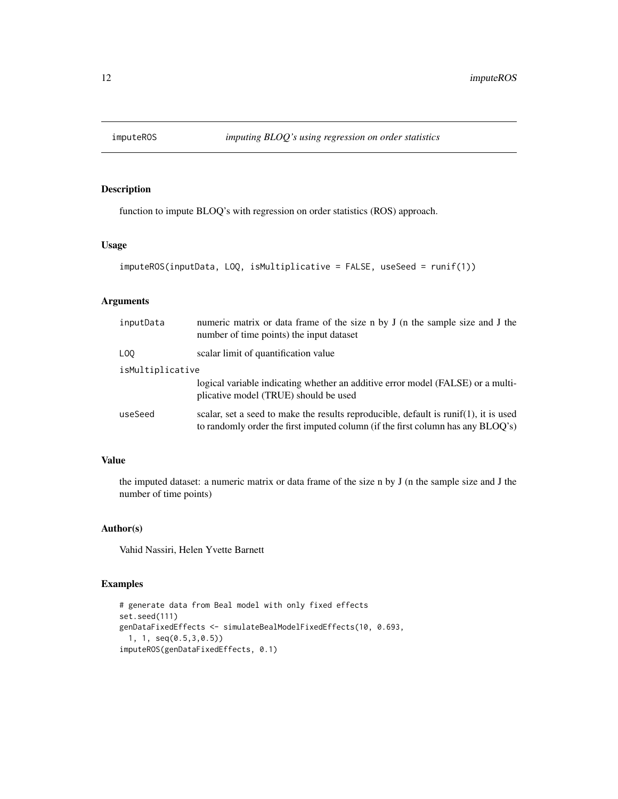<span id="page-11-0"></span>

# Description

function to impute BLOQ's with regression on order statistics (ROS) approach.

# Usage

```
imputeROS(inputData, LOQ, isMultiplicative = FALSE, useSeed = runif(1))
```
# Arguments

| inputData        | numeric matrix or data frame of the size n by J (n the sample size and J the<br>number of time points) the input dataset                                                |  |
|------------------|-------------------------------------------------------------------------------------------------------------------------------------------------------------------------|--|
| L <sub>00</sub>  | scalar limit of quantification value                                                                                                                                    |  |
| isMultiplicative |                                                                                                                                                                         |  |
|                  | logical variable indicating whether an additive error model (FALSE) or a multi-<br>plicative model (TRUE) should be used                                                |  |
| useSeed          | scalar, set a seed to make the results reproducible, default is runif(1), it is used<br>to randomly order the first imputed column (if the first column has any BLOQ's) |  |

# Value

the imputed dataset: a numeric matrix or data frame of the size n by J (n the sample size and J the number of time points)

# Author(s)

Vahid Nassiri, Helen Yvette Barnett

```
# generate data from Beal model with only fixed effects
set.seed(111)
genDataFixedEffects <- simulateBealModelFixedEffects(10, 0.693,
 1, 1, seq(0.5,3,0.5))
imputeROS(genDataFixedEffects, 0.1)
```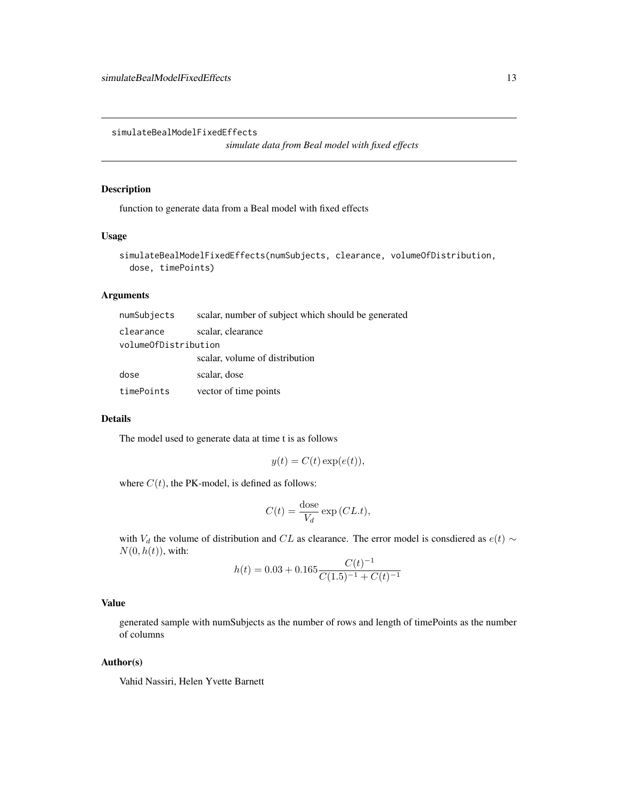<span id="page-12-0"></span>simulateBealModelFixedEffects

*simulate data from Beal model with fixed effects*

# Description

function to generate data from a Beal model with fixed effects

#### Usage

```
simulateBealModelFixedEffects(numSubjects, clearance, volumeOfDistribution,
 dose, timePoints)
```
# Arguments

| numSubjects          | scalar, number of subject which should be generated |
|----------------------|-----------------------------------------------------|
| clearance            | scalar, clearance                                   |
| volumeOfDistribution |                                                     |
|                      | scalar, volume of distribution                      |
| dose                 | scalar, dose                                        |
| timePoints           | vector of time points                               |

#### Details

The model used to generate data at time t is as follows

$$
y(t) = C(t) \exp(e(t)),
$$

where  $C(t)$ , the PK-model, is defined as follows:

$$
C(t) = \frac{\text{dose}}{V_d} \exp\left(CL.t\right),\,
$$

with  $V_d$  the volume of distribution and CL as clearance. The error model is consdiered as  $e(t) \sim$  $N(0, h(t))$ , with:

$$
h(t) = 0.03 + 0.165 \frac{C(t)^{-1}}{C(1.5)^{-1} + C(t)^{-1}}
$$

### Value

generated sample with numSubjects as the number of rows and length of timePoints as the number of columns

#### Author(s)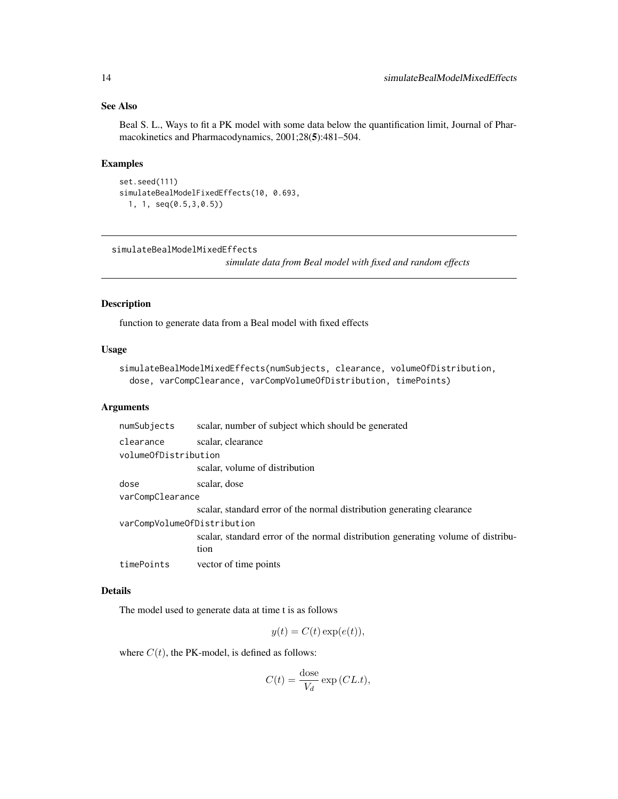# <span id="page-13-0"></span>See Also

Beal S. L., Ways to fit a PK model with some data below the quantification limit, Journal of Pharmacokinetics and Pharmacodynamics, 2001;28(5):481–504.

# Examples

```
set.seed(111)
simulateBealModelFixedEffects(10, 0.693,
  1, 1, seq(0.5,3,0.5))
```
simulateBealModelMixedEffects

*simulate data from Beal model with fixed and random effects*

#### Description

function to generate data from a Beal model with fixed effects

# Usage

```
simulateBealModelMixedEffects(numSubjects, clearance, volumeOfDistribution,
 dose, varCompClearance, varCompVolumeOfDistribution, timePoints)
```
#### Arguments

| numSubjects                 | scalar, number of subject which should be generated                                      |  |
|-----------------------------|------------------------------------------------------------------------------------------|--|
| clearance                   | scalar, clearance                                                                        |  |
| volumeOfDistribution        |                                                                                          |  |
|                             | scalar, volume of distribution                                                           |  |
| dose                        | scalar, dose                                                                             |  |
| varCompClearance            |                                                                                          |  |
|                             | scalar, standard error of the normal distribution generating clearance                   |  |
| varCompVolumeOfDistribution |                                                                                          |  |
|                             | scalar, standard error of the normal distribution generating volume of distribu-<br>tion |  |
| timePoints                  | vector of time points                                                                    |  |

#### Details

The model used to generate data at time t is as follows

$$
y(t) = C(t) \exp(e(t)),
$$

where  $C(t)$ , the PK-model, is defined as follows:

$$
C(t) = \frac{\text{dose}}{V_d} \exp(CL.t),
$$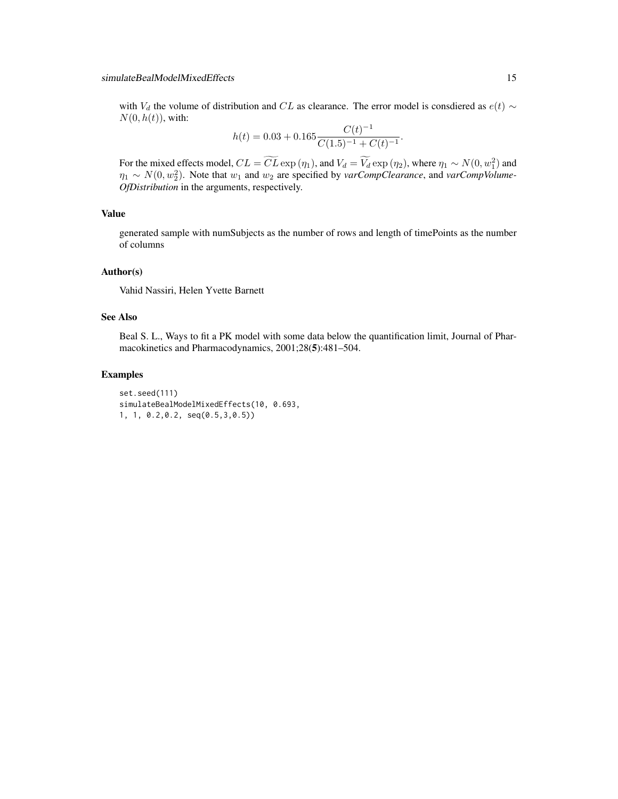# simulateBealModelMixedEffects 15

with  $V_d$  the volume of distribution and CL as clearance. The error model is consdiered as  $e(t) \sim$  $N(0, h(t))$ , with:

$$
h(t) = 0.03 + 0.165 \frac{C(t)^{-1}}{C(1.5)^{-1} + C(t)^{-1}}.
$$

For the mixed effects model,  $CL = CL \exp(\eta_1)$ , and  $V_d = V_d \exp(\eta_2)$ , where  $\eta_1 \sim N(0, w_1^2)$  and  $\eta_1 \sim N(0, w_2^2)$ . Note that  $w_1$  and  $w_2$  are specified by *varCompClearance*, and *varCompVolume*-*OfDistribution* in the arguments, respectively.

# Value

generated sample with numSubjects as the number of rows and length of timePoints as the number of columns

#### Author(s)

Vahid Nassiri, Helen Yvette Barnett

# See Also

Beal S. L., Ways to fit a PK model with some data below the quantification limit, Journal of Pharmacokinetics and Pharmacodynamics, 2001;28(5):481–504.

```
set.seed(111)
simulateBealModelMixedEffects(10, 0.693,
1, 1, 0.2,0.2, seq(0.5,3,0.5))
```